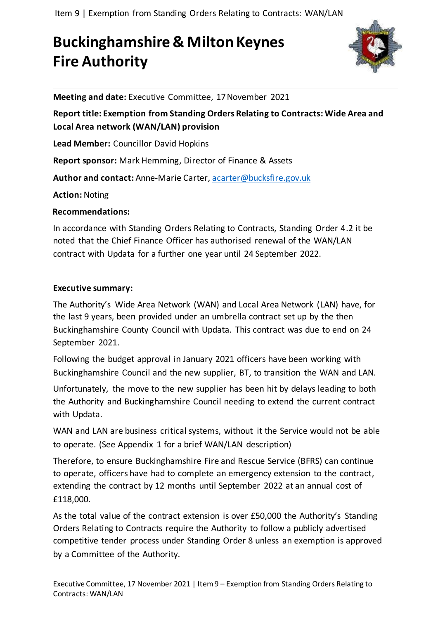Item 9 | Exemption from Standing Orders Relating to Contracts: WAN/LAN

# **Buckinghamshire & Milton Keynes Fire Authority**



**Meeting and date:** Executive Committee, 17November 2021

**Report title: Exemption from Standing Orders Relating to Contracts: Wide Area and Local Area network (WAN/LAN) provision**

**Lead Member:** Councillor David Hopkins

**Report sponsor:** Mark Hemming, Director of Finance & Assets

**Author and contact:** Anne-Marie Carter, [acarter@bucksfire.gov.uk](mailto:acarter@bucksfire.gov.uk)

**Action:** Noting

**Recommendations:** 

In accordance with Standing Orders Relating to Contracts, Standing Order 4.2 it be noted that the Chief Finance Officer has authorised renewal of the WAN/LAN contract with Updata for a further one year until 24 September 2022.

#### **Executive summary:**

The Authority's Wide Area Network (WAN) and Local Area Network (LAN) have, for the last 9 years, been provided under an umbrella contract set up by the then Buckinghamshire County Council with Updata. This contract was due to end on 24 September 2021.

Following the budget approval in January 2021 officers have been working with Buckinghamshire Council and the new supplier, BT, to transition the WAN and LAN.

Unfortunately, the move to the new supplier has been hit by delays leading to both the Authority and Buckinghamshire Council needing to extend the current contract with Updata.

WAN and LAN are business critical systems, without it the Service would not be able to operate. (See Appendix 1 for a brief WAN/LAN description)

Therefore, to ensure Buckinghamshire Fire and Rescue Service (BFRS) can continue to operate, officers have had to complete an emergency extension to the contract, extending the contract by 12 months until September 2022 at an annual cost of £118,000.

As the total value of the contract extension is over £50,000 the Authority's Standing Orders Relating to Contracts require the Authority to follow a publicly advertised competitive tender process under Standing Order 8 unless an exemption is approved by a Committee of the Authority.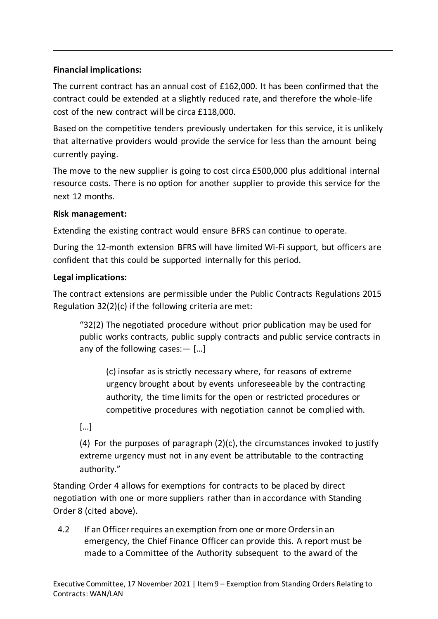# **Financial implications:**

The current contract has an annual cost of £162,000. It has been confirmed that the contract could be extended at a slightly reduced rate, and therefore the whole-life cost of the new contract will be circa £118,000.

Based on the competitive tenders previously undertaken for this service, it is unlikely that alternative providers would provide the service for less than the amount being currently paying.

The move to the new supplier is going to cost circa £500,000 plus additional internal resource costs. There is no option for another supplier to provide this service for the next 12 months.

## **Risk management:**

Extending the existing contract would ensure BFRS can continue to operate.

During the 12-month extension BFRS will have limited Wi-Fi support, but officers are confident that this could be supported internally for this period.

## **Legal implications:**

The contract extensions are permissible under the Public Contracts Regulations 2015 Regulation 32(2)(c) if the following criteria are met:

"32(2) The negotiated procedure without prior publication may be used for public works contracts, public supply contracts and public service contracts in any of the following cases:— […]

(c) insofar as is strictly necessary where, for reasons of extreme urgency brought about by events unforeseeable by the contracting authority, the time limits for the open or restricted procedures or competitive procedures with negotiation cannot be complied with.

[…]

(4) For the purposes of paragraph (2)(c), the circumstances invoked to justify extreme urgency must not in any event be attributable to the contracting authority."

Standing Order 4 allows for exemptions for contracts to be placed by direct negotiation with one or more suppliers rather than in accordance with Standing Order 8 (cited above).

4.2 If anOfficerrequires an exemption from one or more Ordersin an emergency, the Chief Finance Officer can provide this. A report must be made to a Committee of the Authority subsequent to the award of the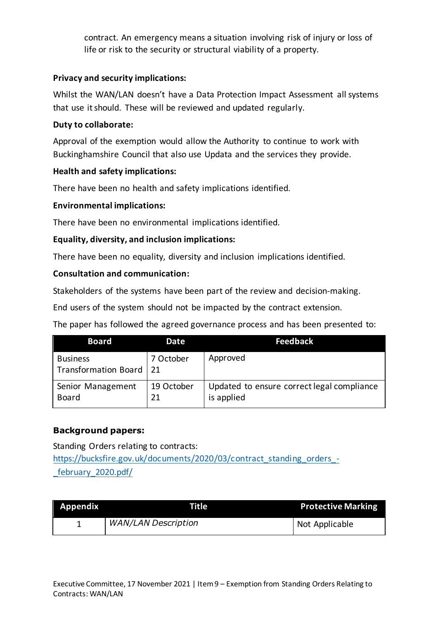contract. An emergency means a situation involving risk of injury or loss of life or risk to the security or structural viability of a property.

#### **Privacy and security implications:**

Whilst the WAN/LAN doesn't have a Data Protection Impact Assessment all systems that use it should. These will be reviewed and updated regularly.

#### **Duty to collaborate:**

Approval of the exemption would allow the Authority to continue to work with Buckinghamshire Council that also use Updata and the services they provide.

## **Health and safety implications:**

There have been no health and safety implications identified.

#### **Environmental implications:**

There have been no environmental implications identified.

## **Equality, diversity, and inclusion implications:**

There have been no equality, diversity and inclusion implications identified.

## **Consultation and communication:**

Stakeholders of the systems have been part of the review and decision-making.

End users of the system should not be impacted by the contract extension.

The paper has followed the agreed governance process and has been presented to:

| <b>Board</b>                                 | Date             | <b>Feedback</b>                                          |
|----------------------------------------------|------------------|----------------------------------------------------------|
| <b>Business</b><br>Transformation Board   21 | 7 October        | Approved                                                 |
| Senior Management<br><b>Board</b>            | 19 October<br>21 | Updated to ensure correct legal compliance<br>is applied |

# **Background papers:**

Standing Orders relating to contracts: [https://bucksfire.gov.uk/documents/2020/03/contract\\_standing\\_orders\\_-](https://bucksfire.gov.uk/documents/2020/03/contract_standing_orders_-_february_2020.pdf/) [\\_february\\_2020.pdf/](https://bucksfire.gov.uk/documents/2020/03/contract_standing_orders_-_february_2020.pdf/)

| Appendix | Title                      | <b>Protective Marking</b> |
|----------|----------------------------|---------------------------|
|          | <b>WAN/LAN Description</b> | Not Applicable            |